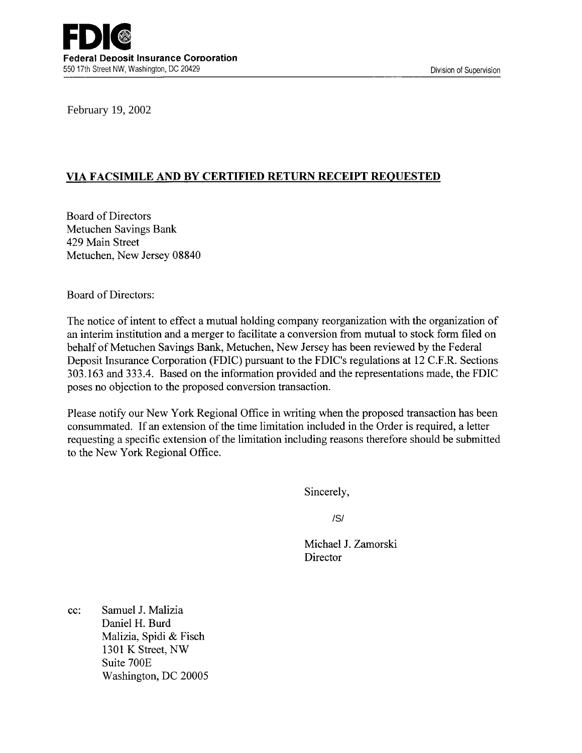# **VIA FACSIMILE AND BY CERTIFIED RETURN RECEIPT REQUESTED**

Board of Directors Metuchen Savings Bank 429 Main Street Metuchen, New Jersey 08840

Board of Directors:

The notice of intent to effect a mutual holding company reorganization with the organization of an interim institution and a merger to facilitate a conversion from mutual to stock form filed on behalf of Metuchen Savings Bank, Metuchen, New Jersey has been reviewed by the Federal Deposit Insurance Corporation (FDIC) pursuant to the FDIC's regulations at 12 C.F.R. Sections 303.163 and 333.4. Based on the information provided and the representations made, the FDIC poses no objection to the proposed conversion transaction. February 19, 2002<br>
VIA FACSIMILE AND BY CERTIFIED RETURN RECI<br>
Board of Directors<br>
Metuchen Savings Bank<br>
429 Main Street<br>
Metuchen, New Jersey 08840<br>
Board of Directors:<br>
The notice of intent to effect a mutual holding co

Please notify our New York Regional Office in writing when the proposed transaction has been consummated. If an extension of the time limitation included in the Order is required, a letter requesting a specific extension of the limitation including reasons therefore should be submitted to the New York Regional Office.

Sincerely,

Michael J. Zamorski **Director** 

cc: Samuel J. Malizia Daniel H. Burd Malizia, Spidi & Fisch 1301 K Street, NW Suite 700E Washington, DC 20005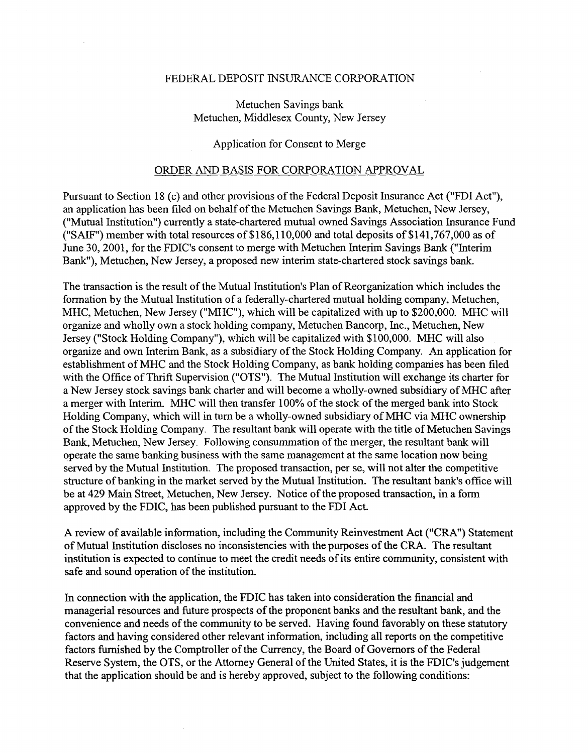### FEDERAL DEPOSIT INSURANCE CORPORATION

## Metuchen Savings bank Metuchen, Middlesex County, New Jersey

## Application for Consent to Merge

## ORDER AND BASIS FOR CORPORATION APPROVAL

Pursuant to Section 18 (c) and other provisions of the Federal Deposit Insurance Act ("FDI Act"), an application has been filed on behalf of the Metuchen Savings Bank, Metuchen, New Jersey, ("Mutual Institution") currently a state-chartered mutual owned Savings Association Insurance Fund ("SAIF") member with total resources of \$186,110,000 and total deposits of \$141,767,000 as of June 30, 2001, for the FDIC's consent to merge with Metuchen Interim Savings Bank ("Interim Bank"), Metuchen, New Jersey, a proposed new interim state-chartered stock savings bank.

The transaction is the result of the Mutual Institution's Plan of Reorganization which includes the formation by the Mutual Institution of a federally-chartered mutual holding company, Metuchen, MHC, Metuchen, New Jersey ("MHC"), which will be capitalized with up to \$200,000. MHC will organize and wholly own a stock holding company, Metuchen Bancorp, Inc., Metuchen, New Jersey ("Stock Holding Company"), which will be capitalized with \$100,000. MHC will also organize and own Interim Bank, as a subsidiary of the Stock Holding Company. An application for establishment ofMHC and the Stock Holding Company, as bank holding companies has been filed with the Office of Thrift Supervision ("OTS"). The Mutual Institution will exchange its charter for a New Jersey stock savings bank charter and will become a wholly-owned subsidiary of MHC after a merger with Interim. MHC will then transfer 100% of the stock of the merged bank into Stock Holding Company, which will in turn be a wholly-owned subsidiary of MHC via MHC ownership of the Stock Holding Company. The resultant bank will operate with the title of Metuchen Savings Bank, Metuchen, New Jersey. Following consummation of the merger, the resultant bank will operate the same banking business with the same management at the same location now being served by the Mutual Institution. The proposed transaction, per se, will not alter the competitive structure of banking in the market served by the Mutual Institution. The resultant bank's office will be at 429 Main Street, Metuchen, New Jersey. Notice of the proposed transaction, in a form approved by the FDIC, has been published pursuant to the FDI Act.

A review of available information, including the Community Reinvestment Act ("CRA") Statement of Mutual Institution discloses no inconsistencies with the purposes of the CRA. The resultant institution is expected to continue to meet the credit needs of its entire community, consistent with safe and sound operation of the institution.

In connection with the application, the FDIC has taken into consideration the financial and managerial resources and future prospects of the proponent banks and the resultant bank, and the convenience and needs of the community to be served. Having found favorably on these statutory factors and having considered other relevant information, including all reports on the competitive factors furnished by the Comptroller of the Currency, the Board of Governors of the Federal Reserve System, the OTS, or the Attorney General of the United States, it is the FDIC's judgement that the application should be and is hereby approved, subject to the following conditions: